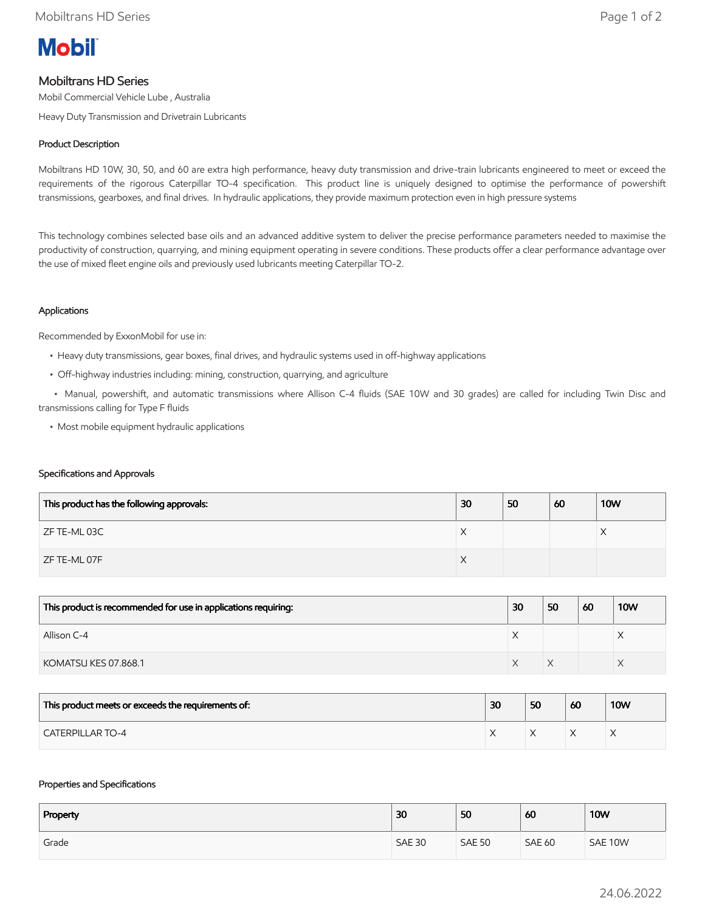

# Mobiltrans HD Series

Mobil Commercial Vehicle Lube , Australia

Heavy Duty Transmission and Drivetrain Lubricants

## Product Description

Mobiltrans HD 10W, 30, 50, and 60 are extra high performance, heavy duty transmission and drive-train lubricants engineered to meet or exceed the requirements of the rigorous Caterpillar TO-4 specification. This product line is uniquely designed to optimise the performance of powershift transmissions, gearboxes, and final drives. In hydraulic applications, they provide maximum protection even in high pressure systems

This technology combines selected base oils and an advanced additive system to deliver the precise performance parameters needed to maximise the productivity of construction, quarrying, and mining equipment operating in severe conditions. These products offer a clear performance advantage over the use of mixed fleet engine oils and previously used lubricants meeting Caterpillar TO-2.

## Applications

Recommended by ExxonMobil for use in:

- Heavy duty transmissions, gear boxes, final drives, and hydraulic systems used in off-highway applications
- Off-highway industries including: mining, construction, quarrying, and agriculture

 • Manual, powershift, and automatic transmissions where Allison C-4 fluids (SAE 10W and 30 grades) are called for including Twin Disc and transmissions calling for Type F fluids

• Most mobile equipment hydraulic applications

#### Specifications and Approvals

| This product has the following approvals: | 30 | 50 | 60 | <b>10W</b> |
|-------------------------------------------|----|----|----|------------|
| ZF TE-ML 03C                              | X  |    |    | ∧          |
| ZF TE-ML 07F                              | X  |    |    |            |

| This product is recommended for use in applications requiring: | 30 | 50 | 60 | <b>10W</b> |
|----------------------------------------------------------------|----|----|----|------------|
| Allison C-4                                                    |    |    |    | ⌒          |
| KOMATSU KES 07.868.1                                           |    |    |    |            |

| This product meets or exceeds the requirements of: | 30 | 50 | 60 | <b>10W</b> |
|----------------------------------------------------|----|----|----|------------|
| <b>CATERPILLAR TO-4</b>                            |    |    |    |            |

#### Properties and Specifications

| Property | 30            | 50            | 60            | <b>10W</b> |
|----------|---------------|---------------|---------------|------------|
| Grade    | <b>SAE 30</b> | <b>SAE 50</b> | <b>SAE 60</b> | SAE 10W    |